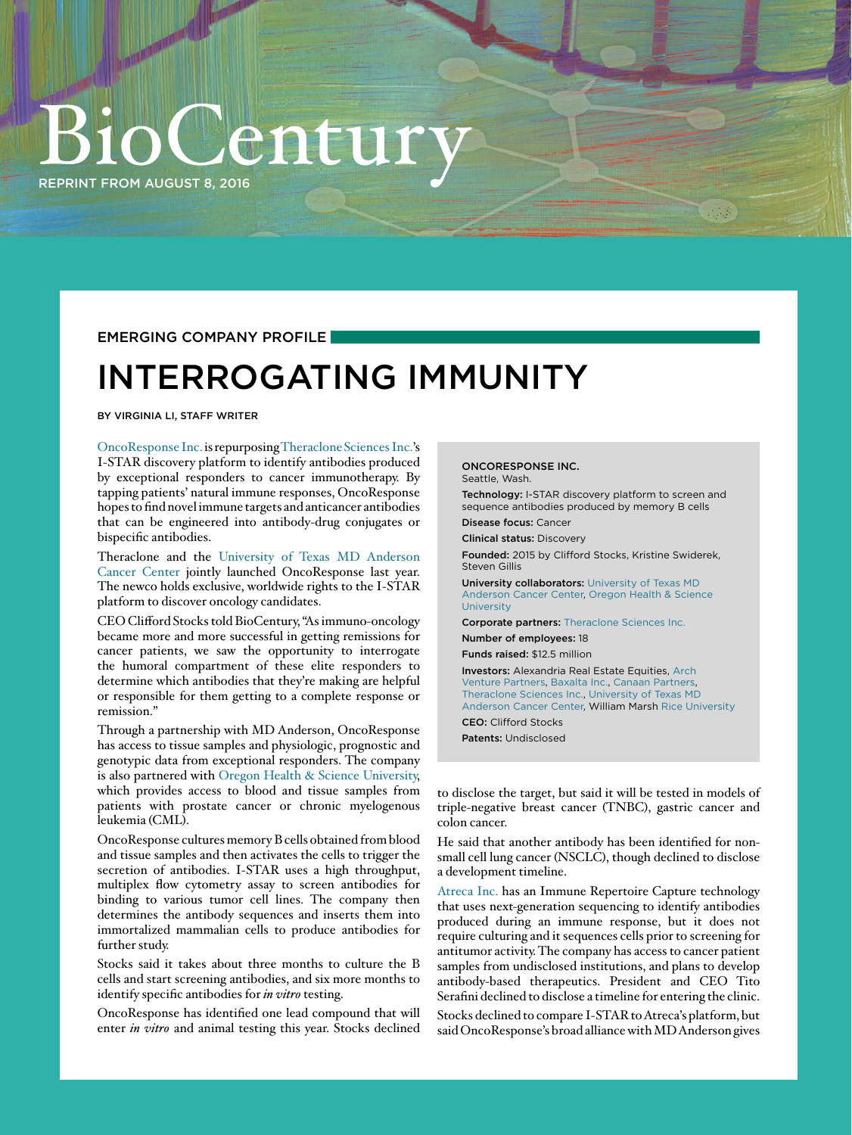## entu [REPRINT FROM AUGUST 8, 2016](http://www.biocentury.com/Home)

EMERGING COMPANY PROFILE

### INTERROGATING IMMUNITY

BY VIRGINIA LI, STAFF WRITER

[OncoResponse Inc.](http://www.biocentury.com/companies/oncoresponse_inc) is repurposing [Theraclone Sciences Inc.'](http://www.biocentury.com/companies/theraclone_sciences_inc)s I-STAR discovery platform to identify antibodies produced by exceptional responders to cancer immunotherapy. By tapping patients' natural immune responses, OncoResponse hopes to find novel immune targets and anticancer antibodies that can be engineered into antibody-drug conjugates or bispecific antibodies.

Theraclone and the [University of Texas MD Anderson](http://www.biocentury.com/companies/university_of_texas_md_anderson_cancer_center)  [Cancer Center](http://www.biocentury.com/companies/university_of_texas_md_anderson_cancer_center) jointly launched OncoResponse last year. The newco holds exclusive, worldwide rights to the I-STAR platform to discover oncology candidates.

CEO Clifford Stocks told BioCentury, "As immuno-oncology became more and more successful in getting remissions for cancer patients, we saw the opportunity to interrogate the humoral compartment of these elite responders to determine which antibodies that they're making are helpful or responsible for them getting to a complete response or remission."

Through a partnership with MD Anderson, OncoResponse has access to tissue samples and physiologic, prognostic and genotypic data from exceptional responders. The company is also partnered with [Oregon Health & Science University,](http://www.biocentury.com/companies/oregon_health_and_science_university) which provides access to blood and tissue samples from patients with prostate cancer or chronic myelogenous leukemia (CML).

OncoResponse cultures memory B cells obtained from blood and tissue samples and then activates the cells to trigger the secretion of antibodies. I-STAR uses a high throughput, multiplex flow cytometry assay to screen antibodies for binding to various tumor cell lines. The company then determines the antibody sequences and inserts them into immortalized mammalian cells to produce antibodies for further study.

Stocks said it takes about three months to culture the B cells and start screening antibodies, and six more months to identify specific antibodies for *in vitro* testing.

OncoResponse has identified one lead compound that will enter *in vitro* and animal testing this year. Stocks declined

### ONCORESPONSE INC.

Seattle, Wash.

Technology: I-STAR discovery platform to screen and sequence antibodies produced by memory B cells Disease focus: Cancer

Clinical status: Discovery

Founded: 2015 by Clifford Stocks, Kristine Swiderek, Steven Gillis

University collaborators: [University of Texas MD](http://www.biocentury.com/companies/university_of_texas_md_anderson_cancer_center)  [Anderson Cancer Center,](http://www.biocentury.com/companies/university_of_texas_md_anderson_cancer_center) [Oregon Health & Science](http://www.biocentury.com/companies/oregon_health_and_science_university)  [University](http://www.biocentury.com/companies/oregon_health_and_science_university)

Corporate partners: [Theraclone Sciences Inc.](http://www.biocentury.com/companies/theraclone_sciences_inc)

Number of employees: 18

Funds raised: \$12.5 million

Investors: Alexandria Real Estate Equities, [Arch](http://www.biocentury.com/companies/arch_venture_partners)  [Venture Partners](http://www.biocentury.com/companies/arch_venture_partners), [Baxalta Inc.](http://www.biocentury.com/companies/baxalta_inc), [Canaan Partners](http://www.biocentury.com/companies/canaan_partners), [Theraclone Sciences Inc.,](http://www.biocentury.com/companies/theraclone_sciences_inc) [University of Texas MD](http://www.biocentury.com/companies/university_of_texas_md_anderson_cancer_center)  [Anderson Cancer Center,](http://www.biocentury.com/companies/university_of_texas_md_anderson_cancer_center) William Marsh [Rice University](http://www.biocentury.com/companies/rice_university) CEO: Clifford Stocks

Patents: Undisclosed

to disclose the target, but said it will be tested in models of triple-negative breast cancer (TNBC), gastric cancer and colon cancer.

He said that another antibody has been identified for nonsmall cell lung cancer (NSCLC), though declined to disclose a development timeline.

[Atreca Inc.](http://www.biocentury.com/companies/atreca_inc) has an Immune Repertoire Capture technology that uses next-generation sequencing to identify antibodies produced during an immune response, but it does not require culturing and it sequences cells prior to screening for antitumor activity. The company has access to cancer patient samples from undisclosed institutions, and plans to develop antibody-based therapeutics. President and CEO Tito Serafini declined to disclose a timeline for entering the clinic.

Stocks declined to compare I-STAR to Atreca's platform, but said OncoResponse's broad alliance with MD Anderson gives